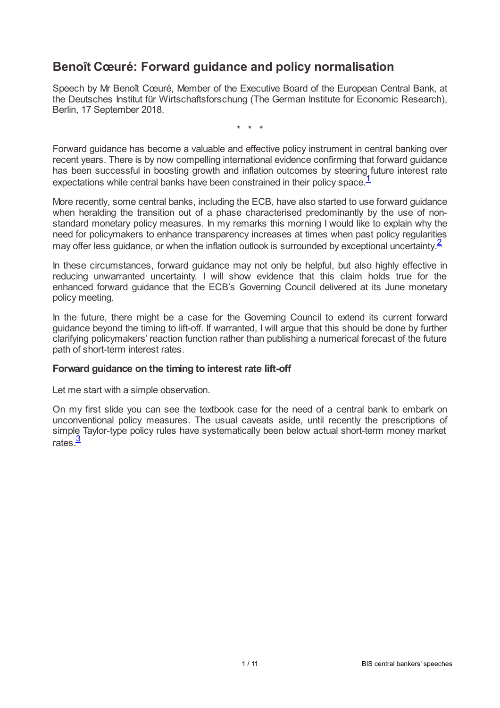# **Benoît Cœuré: Forward guidance and policy normalisation**

Speech by Mr Benoît Cœuré, Member of the Executive Board of the European Central Bank, at the Deutsches Institut für Wirtschaftsforschung (The German Institute for Economic Research), Berlin, 17 September 2018.

<span id="page-0-1"></span><span id="page-0-0"></span>\* \* \*

Forward guidance has become a valuable and effective policy instrument in central banking over recent years. There is by now compelling international evidence confirming that forward guidance has been successful in boosting growth and inflation outcomes by steering future interest rate expectations while central banks have been constrained in their policy space.<sup>[1](#page-8-0)</sup>

More recently, some central banks, including the ECB, have also started to use forward guidance when heralding the transition out of a phase characterised predominantly by the use of nonstandard monetary policy measures. In my remarks this morning I would like to explain why the need for policymakers to enhance transparency increases at times when past policy regularities may offer less guidance, or when the inflation outlook is surrounded by exceptional uncertainty.<sup>[2](#page-9-0)</sup>

In these circumstances, forward guidance may not only be helpful, but also highly effective in reducing unwarranted uncertainty. I will show evidence that this claim holds true for the enhanced forward guidance that the ECB's Governing Council delivered at its June monetary policy meeting.

In the future, there might be a case for the Governing Council to extend its current forward guidance beyond the timing to lift-off. If warranted, I will argue that this should be done by further clarifying policymakers' reaction function rather than publishing a numerical forecast of the future path of short-term interest rates.

### **Forward guidance on the timing to interest rate lift-off**

Let me start with a simple observation.

<span id="page-0-2"></span>On my first slide you can see the textbook case for the need of a central bank to embark on unconventional policy measures. The usual caveats aside, until recently the prescriptions of simple Taylor-type policy rules have systematically been below actual short-term money market rates.<sup>[3](#page-9-1)</sup>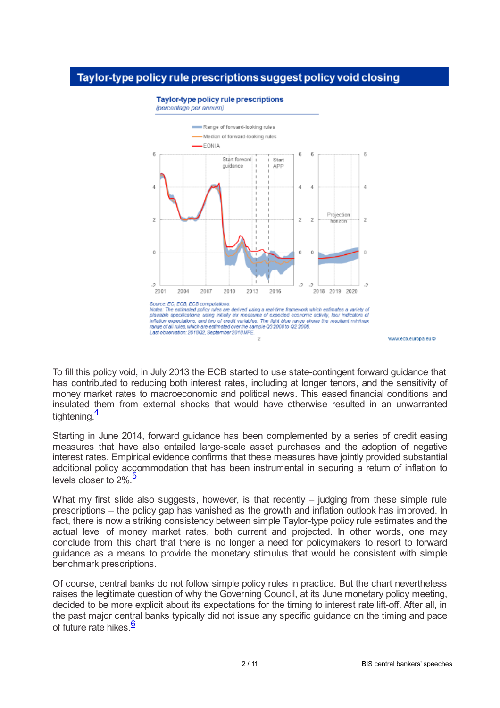### Taylor-type policy rule prescriptions suggest policy void closing



**Taylor-type policy rule prescriptions** 

(percentage per annum)

To fill this policy void, in July 2013 the ECB started to use state-contingent forward guidance that has contributed to reducing both interest rates, including at longer tenors, and the sensitivity of money market rates to macroeconomic and political news. This eased financial conditions and insulated them from external shocks that would have otherwise resulted in an unwarranted tightening.<sup>[4](#page-9-2)</sup>

<span id="page-1-0"></span>Starting in June 2014, forward guidance has been complemented by a series of credit easing measures that have also entailed large-scale asset purchases and the adoption of negative interest rates. Empirical evidence confirms that these measures have jointly provided substantial additional policy accommodation that has been instrumental in securing a return of inflation to levels closer to 2%.<sup>[5](#page-9-3)</sup>

<span id="page-1-1"></span>What my first slide also suggests, however, is that recently – judging from these simple rule prescriptions – the policy gap has vanished as the growth and inflation outlook has improved. In fact, there is now a striking consistency between simple Taylor-type policy rule estimates and the actual level of money market rates, both current and projected. In other words, one may conclude from this chart that there is no longer a need for policymakers to resort to forward guidance as a means to provide the monetary stimulus that would be consistent with simple benchmark prescriptions.

<span id="page-1-2"></span>Of course, central banks do not follow simple policy rules in practice. But the chart nevertheless raises the legitimate question of why the Governing Council, at its June monetary policy meeting, decided to be more explicit about its expectations for the timing to interest rate lift-off. After all, in the past major central banks typically did not issue any specific guidance on the timing and pace of future rate hikes.<sup>[6](#page-9-4)</sup>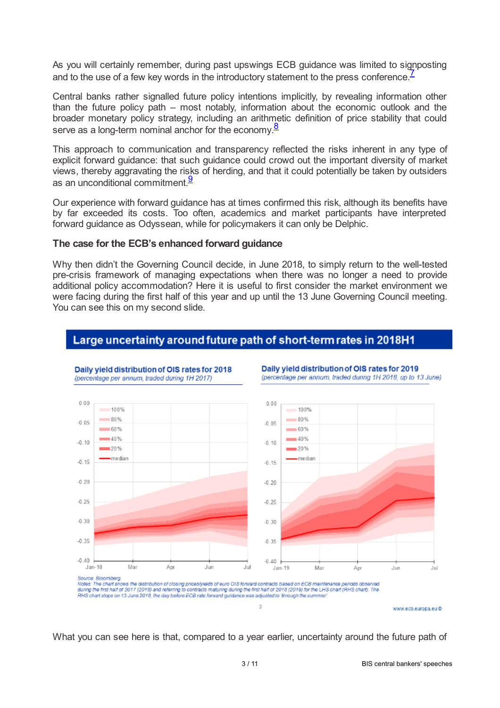As you will certainly remember, during past upswings ECB guidance was limited to signposting and to the use of a few key words in the introductory statement to the press conference.<sup>[7](#page-9-5)</sup>

Central banks rather signalled future policy intentions implicitly, by revealing information other than the future policy path – most notably, information about the economic outlook and the broader monetary policy strategy, including an arithmetic definition of price stability that could serve as a long-term nominal anchor for the economy. $\frac{8}{3}$  $\frac{8}{3}$  $\frac{8}{3}$ 

<span id="page-2-1"></span>This approach to communication and transparency reflected the risks inherent in any type of explicit forward guidance: that such guidance could crowd out the important diversity of market views, thereby aggravating the risks of herding, and that it could potentially be taken by outsiders as an unconditional commitment. $\frac{9}{2}$  $\frac{9}{2}$  $\frac{9}{2}$ 

<span id="page-2-2"></span>Our experience with forward guidance has at times confirmed this risk, although its benefits have by far exceeded its costs. Too often, academics and market participants have interpreted forward guidance as Odyssean, while for policymakers it can only be Delphic.

#### **The case for the ECB's enhanced forward guidance**

Why then didn't the Governing Council decide, in June 2018, to simply return to the well-tested pre-crisis framework of managing expectations when there was no longer a need to provide additional policy accommodation? Here it is useful to first consider the market environment we were facing during the first half of this year and up until the 13 June Governing Council meeting. You can see this on my second slide.

### Large uncertainty around future path of short-term rates in 2018H1



Daily yield distribution of OIS rates for 2018

<span id="page-2-0"></span>Daily vield distribution of OIS rates for 2019 (percentage per annum, traded during 1H 2018, up to 13 June)



3 / 11 BIS central bankers'speeches

www.ecb.europa.eu@

What you can see here is that, compared to a year earlier, uncertainty around the future path of

 $\overline{A}$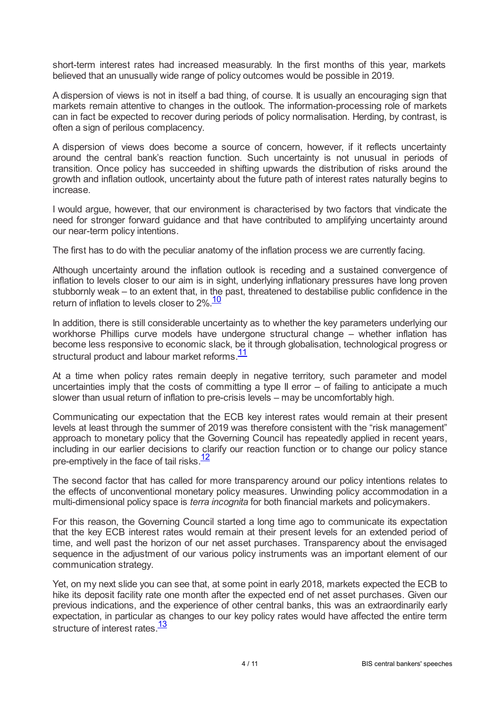short-term interest rates had increased measurably. In the first months of this year, markets believed that an unusually wide range of policy outcomes would be possible in 2019.

A dispersion of views is not in itself a bad thing, of course. It is usually an encouraging sign that markets remain attentive to changes in the outlook. The information-processing role of markets can in fact be expected to recover during periods of policy normalisation. Herding, by contrast, is often a sign of perilous complacency.

A dispersion of views does become a source of concern, however, if it reflects uncertainty around the central bank's reaction function. Such uncertainty is not unusual in periods of transition. Once policy has succeeded in shifting upwards the distribution of risks around the growth and inflation outlook, uncertainty about the future path of interest rates naturally begins to increase.

I would argue, however, that our environment is characterised by two factors that vindicate the need for stronger forward guidance and that have contributed to amplifying uncertainty around our near-term policy intentions.

The first has to do with the peculiar anatomy of the inflation process we are currently facing.

Although uncertainty around the inflation outlook is receding and a sustained convergence of inflation to levels closer to our aim is in sight, underlying inflationary pressures have long proven stubbornly weak – to an extent that, in the past, threatened to destabilise public confidence in the return of inflation to levels closer to 2%.<sup>[10](#page-9-8)</sup>

<span id="page-3-0"></span>In addition, there is still considerable uncertainty as to whether the key parameters underlying our workhorse Phillips curve models have undergone structural change – whether inflation has become less responsive to economic slack, be it through globalisation, technological progress or structural product and labour market reforms.<sup>[11](#page-9-9)</sup>

<span id="page-3-1"></span>At a time when policy rates remain deeply in negative territory, such parameter and model uncertainties imply that the costs of committing a type II error - of failing to anticipate a much slower than usual return of inflation to pre-crisis levels – may be uncomfortably high.

Communicating our expectation that the ECB key interest rates would remain at their present levels at least through the summer of 2019 was therefore consistent with the "risk management" approach to monetary policy that the Governing Council has repeatedly applied in recent years, including in our earlier decisions to clarify our reaction function or to change our policy stance pre-emptively in the face of tail risks.<sup>[12](#page-9-10)</sup>

<span id="page-3-2"></span>The second factor that has called for more transparency around our policy intentions relates to the effects of unconventional monetary policy measures. Unwinding policy accommodation in a multi-dimensional policy space is *terra incognita* for both financial markets and policymakers.

For this reason, the Governing Council started a long time ago to communicate its expectation that the key ECB interest rates would remain at their present levels for an extended period of time, and well past the horizon of our net asset purchases. Transparency about the envisaged sequence in the adjustment of our various policy instruments was an important element of our communication strategy.

<span id="page-3-3"></span>Yet, on my next slide you can see that, at some point in early 2018, markets expected the ECB to hike its deposit facility rate one month after the expected end of net asset purchases. Given our previous indications, and the experience of other central banks, this was an extraordinarily early expectation, in particular as changes to our key policy rates would have affected the entire term structure of interest rates.<sup>[13](#page-9-11)</sup>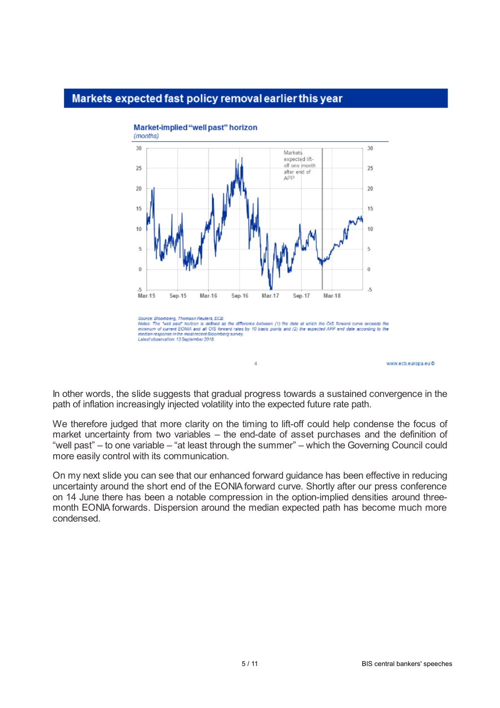# Markets expected fast policy removal earlier this year



www.ecb.europa.eu@

In other words, the slide suggests that gradual progress towards a sustained convergence in the path of inflation increasingly injected volatility into the expected future rate path.

We therefore judged that more clarity on the timing to lift-off could help condense the focus of market uncertainty from two variables – the end-date of asset purchases and the definition of "well past" – to one variable – "at least through the summer" – which the Governing Council could more easily control with its communication.

On my next slide you can see that our enhanced forward guidance has been effective in reducing uncertainty around the short end of the EONIAforward curve. Shortly after our press conference on 14 June there has been a notable compression in the option-implied densities around threemonth EONIA forwards. Dispersion around the median expected path has become much more condensed.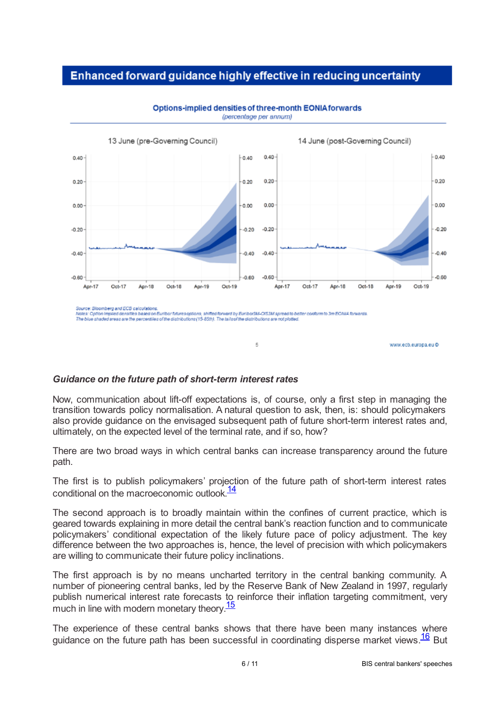# Enhanced forward guidance highly effective in reducing uncertainty



Options-implied densities of three-month EONIA forwards (percentage per annum)

#### *Guidance on the future path of short-term interest rates*

Now, communication about lift-off expectations is, of course, only a first step in managing the transition towards policy normalisation. A natural question to ask, then, is: should policymakers also provide guidance on the envisaged subsequent path of future short-term interest rates and, ultimately, on the expected level of the terminal rate, and if so, how?

<span id="page-5-0"></span>5

There are two broad ways in which central banks can increase transparency around the future path.

The first is to publish policymakers' projection of the future path of short-term interest rates conditional on the macroeconomic outlook.<sup>[14](#page-9-12)</sup>

The second approach is to broadly maintain within the confines of current practice, which is geared towards explaining in more detail the central bank's reaction function and to communicate policymakers' conditional expectation of the likely future pace of policy adjustment. The key difference between the two approaches is, hence, the level of precision with which policymakers are willing to communicate their future policy inclinations.

The first approach is by no means uncharted territory in the central banking community. A number of pioneering central banks, led by the Reserve Bank of New Zealand in 1997, regularly publish numerical interest rate forecasts to reinforce their inflation targeting commitment, very much in line with modern monetary theory.<sup>[15](#page-9-13)</sup>

<span id="page-5-1"></span>The experience of these central banks shows that there have been many instances where guidance on the future path has been successful in coordinating disperse market views. $\frac{16}{16}$  $\frac{16}{16}$  $\frac{16}{16}$  But

<span id="page-5-2"></span>www.ecb.europa.eu@

Source: Bloomberg and ECB calculations source. Successing and LCG calculations.<br>Nates: Option Implied densities based on Euribar futures aptions, shifted forward by EuribarSM-CIS3M spread to be<br>The blue sheded areas are the percentiles of the distributions (15-, calculatums.<br>les based on Euribor futures optik ard by Euribor3M-CAS3M spread to bett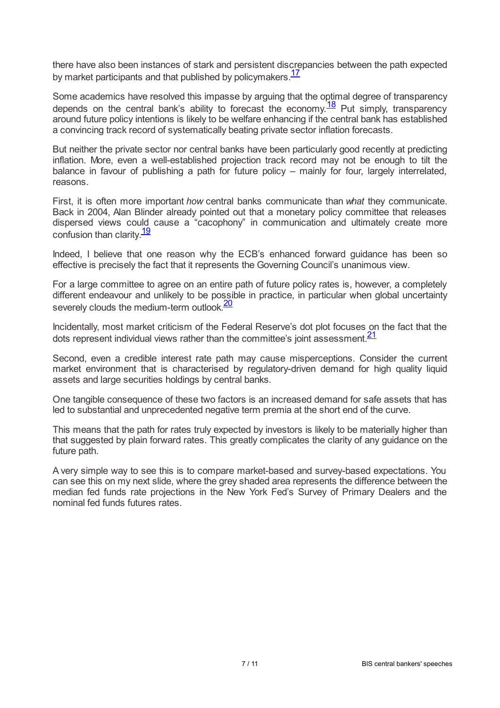<span id="page-6-0"></span>there have also been instances of stark and persistent discrepancies between the path expected by market participants and that published by policymakers.<sup>[17](#page-10-1)</sup>

<span id="page-6-1"></span>Some academics have resolved this impasse by arguing that the optimal degree of transparency depends on the central bank's ability to forecast the economy.  $\frac{18}{2}$  $\frac{18}{2}$  $\frac{18}{2}$  Put simply, transparency around future policy intentions is likely to be welfare enhancing if the central bank has established a convincing track record of systematically beating private sector inflation forecasts.

But neither the private sector nor central banks have been particularly good recently at predicting inflation. More, even a well-established projection track record may not be enough to tilt the balance in favour of publishing a path for future policy – mainly for four, largely interrelated, reasons.

First, it is often more important *how* central banks communicate than *what* they communicate. Back in 2004, Alan Blinder already pointed out that a monetary policy committee that releases dispersed views could cause a "cacophony" in communication and ultimately create more confusion than clarity.<sup>[19](#page-10-3)</sup>

<span id="page-6-2"></span>Indeed, I believe that one reason why the ECB's enhanced forward guidance has been so effective is precisely the fact that it represents the Governing Council's unanimous view.

For a large committee to agree on an entire path of future policy rates is, however, a completely different endeavour and unlikely to be possible in practice, in particular when global uncertainty severely clouds the medium-term outlook.<sup>[20](#page-10-4)</sup>

<span id="page-6-4"></span><span id="page-6-3"></span>Incidentally, most market criticism of the Federal Reserve's dot plot focuses on the fact that the dots represent individual views rather than the committee's joint assessment.<sup>[21](#page-10-5)</sup>

Second, even a credible interest rate path may cause misperceptions. Consider the current market environment that is characterised by regulatory-driven demand for high quality liquid assets and large securities holdings by central banks.

One tangible consequence of these two factors is an increased demand for safe assets that has led to substantial and unprecedented negative term premia at the short end of the curve.

This means that the path for rates truly expected by investors is likely to be materially higher than that suggested by plain forward rates. This greatly complicates the clarity of any guidance on the future path.

A very simple way to see this is to compare market-based and survey-based expectations. You can see this on my next slide, where the grey shaded area represents the difference between the median fed funds rate projections in the New York Fed's Survey of Primary Dealers and the nominal fed funds futures rates.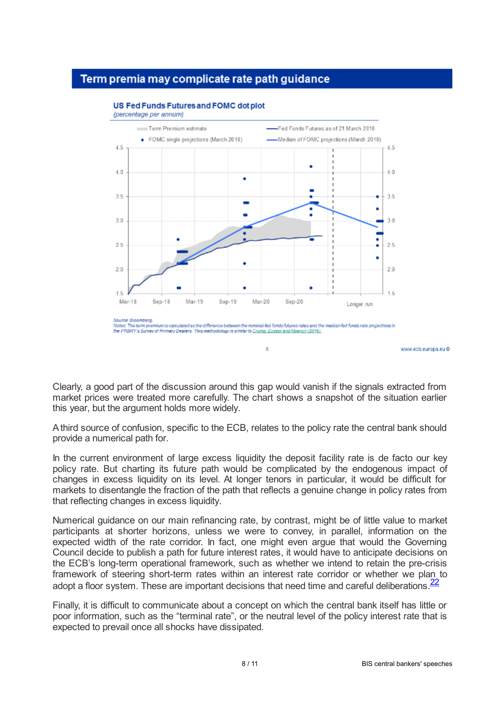### Term premia may complicate rate path quidance



#### **US Fed Funds Futures and FOMC dot plot**

Clearly, a good part of the discussion around this gap would vanish if the signals extracted from market prices were treated more carefully. The chart shows a snapshot of the situation earlier this year, but the argument holds more widely.

Athird source of confusion, specific to the ECB, relates to the policy rate the central bank should provide a numerical path for.

In the current environment of large excess liquidity the deposit facility rate is de facto our key policy rate. But charting its future path would be complicated by the endogenous impact of changes in excess liquidity on its level. At longer tenors in particular, it would be difficult for markets to disentangle the fraction of the path that reflects a genuine change in policy rates from that reflecting changes in excess liquidity.

Numerical guidance on our main refinancing rate, by contrast, might be of little value to market participants at shorter horizons, unless we were to convey, in parallel, information on the expected width of the rate corridor. In fact, one might even argue that would the Governing Council decide to publish a path for future interest rates, it would have to anticipate decisions on the ECB's long-term operational framework, such as whether we intend to retain the pre-crisis framework of steering short-term rates within an interest rate corridor or whether we plan to adopt a floor system. These are important decisions that need time and careful deliberations.<sup>[22](#page-10-6)</sup>

<span id="page-7-0"></span>Finally, it is difficult to communicate about a concept on which the central bank itself has little or poor information, such as the "terminal rate", or the neutral level of the policy interest rate that is expected to prevail once all shocks have dissipated.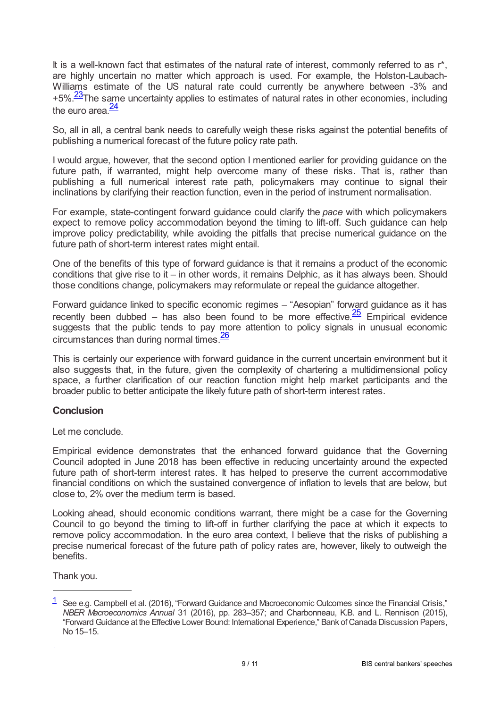It is a well-known fact that estimates of the natural rate of interest, commonly referred to as r\*, are highly uncertain no matter which approach is used. For example, the Holston-Laubach-Williams estimate of the US natural rate could currently be anywhere between -3% and +5%.<sup>[23](#page-10-7)</sup>The same uncertainty applies to estimates of natural rates in other economies, including the euro area. $\frac{24}{3}$  $\frac{24}{3}$  $\frac{24}{3}$ 

<span id="page-8-2"></span><span id="page-8-1"></span>So, all in all, a central bank needs to carefully weigh these risks against the potential benefits of publishing a numerical forecast of the future policy rate path.

I would argue, however, that the second option I mentioned earlier for providing guidance on the future path, if warranted, might help overcome many of these risks. That is, rather than publishing a full numerical interest rate path, policymakers may continue to signal their inclinations by clarifying their reaction function, even in the period of instrument normalisation.

For example, state-contingent forward guidance could clarify the *pace* with which policymakers expect to remove policy accommodation beyond the timing to lift-off. Such guidance can help improve policy predictability, while avoiding the pitfalls that precise numerical guidance on the future path of short-term interest rates might entail.

One of the benefits of this type of forward guidance is that it remains a product of the economic conditions that give rise to it – in other words, it remains Delphic, as it has always been. Should those conditions change, policymakers may reformulate or repeal the guidance altogether.

<span id="page-8-3"></span>Forward guidance linked to specific economic regimes – "Aesopian" forward guidance as it has recently been dubbed – has also been found to be more effective.  $\frac{25}{5}$  $\frac{25}{5}$  $\frac{25}{5}$  Empirical evidence suggests that the public tends to pay more attention to policy signals in unusual economic circumstances than during normal times.<sup>[26](#page-10-10)</sup>

<span id="page-8-4"></span>This is certainly our experience with forward guidance in the current uncertain environment but it also suggests that, in the future, given the complexity of chartering a multidimensional policy space, a further clarification of our reaction function might help market participants and the broader public to better anticipate the likely future path of short-term interest rates.

### **Conclusion**

Let me conclude.

Empirical evidence demonstrates that the enhanced forward guidance that the Governing Council adopted in June 2018 has been effective in reducing uncertainty around the expected future path of short-term interest rates. It has helped to preserve the current accommodative financial conditions on which the sustained convergence of inflation to levels that are below, but close to, 2% over the medium term is based.

Looking ahead, should economic conditions warrant, there might be a case for the Governing Council to go beyond the timing to lift-off in further clarifying the pace at which it expects to remove policy accommodation. In the euro area context, I believe that the risks of publishing a precise numerical forecast of the future path of policy rates are, however, likely to outweigh the benefits.

Thank you.

<span id="page-8-0"></span> $\frac{1}{1}$  $\frac{1}{1}$  $\frac{1}{1}$  See e.g. Campbell et al. (2016), "Forward Guidance and Macroeconomic Outcomes since the Financial Crisis," *NBER Macroeconomics Annual* 31 (2016), pp. 283–357; and Charbonneau, K.B. and L. Rennison (2015), "Forward Guidance at the Effective Lower Bound: International Experience," Bank of Canada Discussion Papers, No 15–15.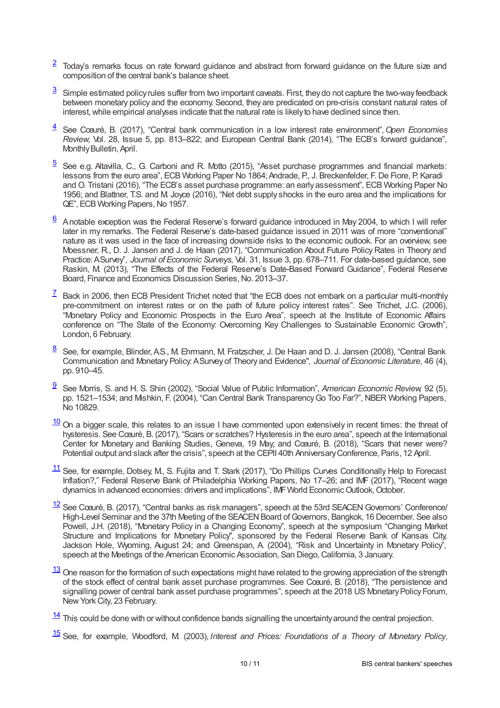- <span id="page-9-0"></span> $2$  Today's remarks focus on rate forward guidance and abstract from forward guidance on the future size and composition of the central bank's balance sheet.
- <span id="page-9-1"></span>Simple estimated policyrules suffer from two important caveats. First, theydo not capture the two-wayfeedback between monetary policy and the economy. Second, they are predicated on pre-crisis constant natural rates of interest,while empirical analyses indicate that the natural rate is likelyto have declined since then. [3](#page-0-2)
- <span id="page-9-2"></span>See Cœuré, B. (2017), "Central bank communication in a low interest rate environment",*Open Economies Review*, Vol. 28, Issue 5, pp. 813–822; and European Central Bank (2014), "The ECB's forward guidance", Monthly Bulletin, April. [4](#page-1-0)
- <span id="page-9-3"></span>See e.g. Altavilla, C., G. Carboni and R. Motto (2015), "Asset purchase programmes and financial markets: lessons from the euro area", ECB Working Paper No 1864; Andrade, P., J. Breckenfelder, F. De Fiore, P. Karadi and O. Tristani (2016), "The ECB's asset purchase programme: an earlyassessment", ECB Working Paper No 1956; and Blattner, T.S. and M. Joyce (2016), "Net debt supply shocks in the euro area and the implications for QE", ECB Working Papers, No 1957. [5](#page-1-1)
- <span id="page-9-4"></span> $6$  Anotable exception was the Federal Reserve's forward guidance introduced in May 2004, to which I will refer later in my remarks. The Federal Reserve's date-based guidance issued in 2011 was of more "conventional" nature as it was used in the face of increasing downside risks to the economic outlook. For an overview, see Moessner, R., D. J. Jansen and J. de Haan (2017), "Communication About Future Policy Rates in Theory and Practice:ASurvey", *Journal of Economic Surveys*, Vol. 31, Issue 3, pp. 678–711. For date-based guidance, see Raskin, M. (2013), "The Effects of the Federal Reserve's Date-Based Forward Guidance", Federal Reserve Board, Finance and Economics Discussion Series, No. 2013-37.
- <span id="page-9-5"></span> $\frac{7}{1}$  $\frac{7}{1}$  $\frac{7}{1}$  Back in 2006, then ECB President Trichet noted that "the ECB does not embark on a particular multi-monthly pre-commitment on interest rates or on the path of future policy interest rates". See Trichet, J.C. (2006), "Monetary Policy and Economic Prospects in the Euro Area", speech at the Institute of Economic Affairs conference on "The State of the Economy: Overcoming Key Challenges to Sustainable Economic Growth", London, 6 February.
- <span id="page-9-6"></span>See, for example, Blinder, A.S., M. Ehrmann, M. Fratzscher, J. De Haan and D. J. Jansen (2008), "Central Bank Communication and MonetaryPolicy:ASurvey of Theory and Evidence", *Journal of Economic Literature*, 46 (4), pp. 910–45. [8](#page-2-1)
- <span id="page-9-7"></span>See Morris, S. and H. S. Shin (2002), "Social Value of Public Information", *American Economic Review,* 92 (5), pp. 1521–1534; and Mishkin, F. (2004), "Can Central Bank Transparency Go Too Far?", NBER Working Papers, No 10829. [9](#page-2-2)
- <span id="page-9-8"></span> $\frac{10}{2}$  $\frac{10}{2}$  $\frac{10}{2}$  On a bigger scale, this relates to an issue I have commented upon extensively in recent times: the threat of hysteresis. See Cœuré, B. (2017), "Scars or scratches? Hysteresis in the euro area", speech at the International Center for Monetary and Banking Studies, Geneva, 19 May; and Cœuré, B. (2018), "Scars that never were? Potential output and slack after the crisis", speech at the CEPII 40th Anniversary Conference, Paris, 12 April.
- <span id="page-9-9"></span> $\frac{11}{11}$  $\frac{11}{11}$  $\frac{11}{11}$  See, for example, Dotsey, M, S. Fujita and T. Stark (2017), "Do Phillips Curves Conditionally Help to Forecast Inflation?," Federal Reserve Bank of Philadelphia Working Papers*,* No 17–26; and IMF (2017), "Recent wage dynamics in advanced economies: drivers and implications", IMF World Economic Outlook, October.
- <span id="page-9-10"></span> $\frac{12}{12}$  $\frac{12}{12}$  $\frac{12}{12}$  See Cœuré, B. (2017), "Central banks as risk managers", speech at the 53rd SEACEN Governors' Conference/ High-Level Seminar and the 37th Meeting of the SEACEN Board of Governors, Bangkok, 16 December. See also Powell, J.H. (2018), "Monetary Policy in a Changing Economy", speech at the symposium "Changing Market Structure and Implications for Monetary Policy", sponsored by the Federal Reserve Bank of Kansas City, Jackson Hole, Wyoming, August 24; and Greenspan, A. (2004), "Risk and Uncertainty in Monetary Policy", speech at the Meetings of the American Economic Association, San Diego, California, 3 January.
- <span id="page-9-11"></span> $\frac{13}{2}$  $\frac{13}{2}$  $\frac{13}{2}$  One reason for the formation of such expectations might have related to the growing appreciation of the strength of the stock effect of central bank asset purchase programmes. See Cœuré, B. (2018), "The persistence and signalling power of central bank asset purchase programmes", speech at the 2018 US Monetary Policy Forum, New York City, 23 February.
- <span id="page-9-12"></span> $\frac{14}{1}$  $\frac{14}{1}$  $\frac{14}{1}$  This could be done with or without confidence bands signalling the uncertainty around the central projection.
- <span id="page-9-13"></span>See, for example, Woodford, M. (2003), *Interest and Prices: Foundations of a Theory of Monetary Policy*, [15](#page-5-1)